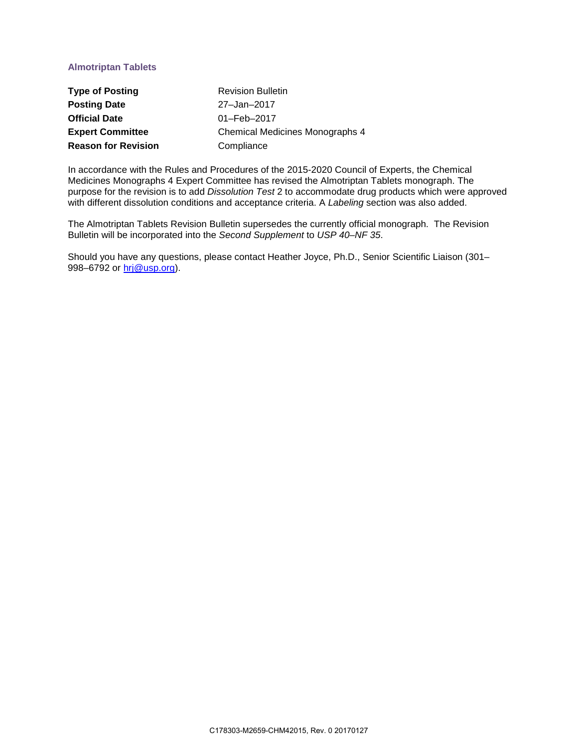# **Almotriptan Tablets**

| <b>Type of Posting</b>     | <b>Revision Bulletin</b>        |
|----------------------------|---------------------------------|
| <b>Posting Date</b>        | 27-Jan-2017                     |
| <b>Official Date</b>       | $01 - \text{Feb} - 2017$        |
| <b>Expert Committee</b>    | Chemical Medicines Monographs 4 |
| <b>Reason for Revision</b> | Compliance                      |

In accordance with the Rules and Procedures of the 2015-2020 Council of Experts, the Chemical Medicines Monographs 4 Expert Committee has revised the Almotriptan Tablets monograph. The purpose for the revision is to add *Dissolution Test* 2 to accommodate drug products which were approved with different dissolution conditions and acceptance criteria. A *Labeling* section was also added.

The Almotriptan Tablets Revision Bulletin supersedes the currently official monograph. The Revision Bulletin will be incorporated into the *Second Supplement* to *USP 40–NF 35*.

Should you have any questions, please contact Heather Joyce, Ph.D., Senior Scientific Liaison (301– 998–6792 or [hrj@usp.org\)](mailto:hrj@usp.org).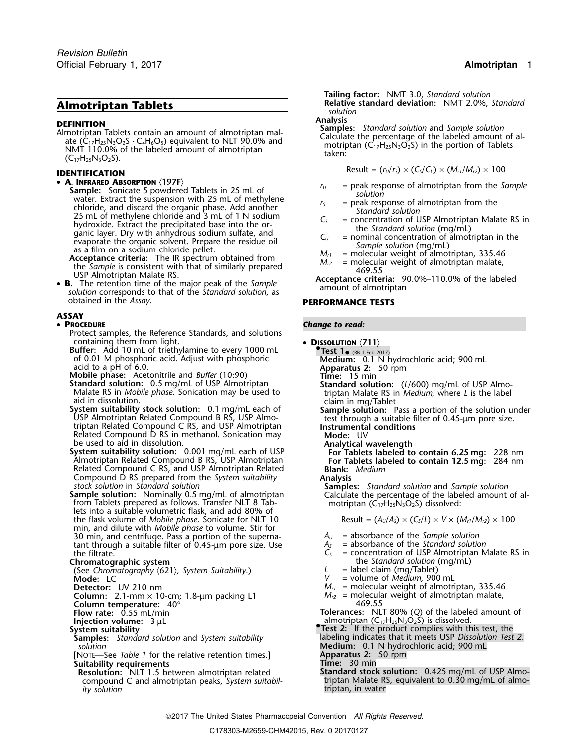**DEFINITION**<br>
Almotriptan Tablets contain an amount of almotriptan mal-<br>
ate (C<sub>17</sub>H<sub>25</sub>N<sub>3</sub>O<sub>2</sub>S · C<sub>4</sub>H<sub>6</sub>O<sub>5</sub>) equivalent to NLT 90.0% and<br>
NMT 110.0% of the labeled amount of almotriptan<br>
(C<sub>17</sub>H<sub>25</sub>N<sub>3</sub>O<sub>2</sub>S) in the

## Result = (*<sup>r</sup>U*/*<sup>r</sup>S*) × (*CS*/*CU*) × (*Mr1*/*Mr2*) ×<sup>100</sup> **IDENTIFICATION**

- A. INFRARED ABSORPTION (197F)
	- **Sample:** Sonicate 5 powdered Tablets in 25 mL of<br>
	sample: Sonicate 5 powdered Tablets in 25 mL of methylene<br>
	chords, and discard the organic phase. Add another<br>
	chords, and discard the organic layer. Dry with anhydrous o
	-
- **B.** The retention time of the major peak of the *Sample solution* corresponds to that of the *Standard solution*, as obtained in the *Assay*.

## **ASSAY**

### • PROCEDURE

- Protect samples, the Reference Standards, and solutions containing them from light.
- containing them from light. **<sup>D</sup>ISSOLUTION** 〈**711**〉 **Buffer:** Add 10 mL of triethylamine to every 1000 mL **•.Test 1**•and to the oriental Adjust with phosphoric<br>acid to a pH of 6.0.<br>Mobile phase: Acetonitrile and *Buffer* (10:90) Time: 15 min

- **Standard solution:** 0.5 mg/mL of USP Almotriptan<br>
Malate RS in *Mobile phase*. Sonication may be used to<br>
aid in dissolution.<br>
aid in dissolution.<br>
aid in dissolution.<br>
aid in dissolution.
- System suitability stock solution: 0.1 mg/mL each of Sample solution: Pass a portion of the solution under USP Almotriptan Related Compound B RS, USP Almo-<br>USP Almotriptan Related Compound C RS, and USP Almotriptan Instrum Related Compound D RS in methanol. Sonication may **Mode:** UV<br>be used to aid in dissolution. **Mode:** Analytical v
- be used to aid in dissolution. **Analytical wavelength System suitability solution:** 0.001 mg/mL each of USP **For Tablets labeled to contain 6.25 mg:** 228 nm Almotriptan Related Compound B RS, USP Almotriptan **For Tablets labeled to contain 12.5 mg:** 284 nm Related Compound C RS, and USP Almotriptan Related **Blank:** *Medium*
- Compound D RS prepared from the *System suitability*<br>stock solution in *Standard solution*<br>**Sample solution:** Nominally 0.5 mg/mL of almotriptan<br>from Tablets prepared as follows. Transfer NLT 8 Tab-<br>lets into a suitable v  $\Sigma$  the flask volume of *Mobile phase*. Sonicate for NLT 10 min, and dilute with *Mobile phase* to volume. Stir for 30 min, and centrifuge. Pass a portion of the superna-<br>  $A_U$  = absorbance of the *Sample solution*<br>  $A_S$  = absorbance of the *Standard solution* tant through a suitable filter of 0.45-µm pore size. Use  $A_5$ <br>the filtrate.  $C_5$

**Chromatographic system**<br>
(See Chromatographic system Suitability.)<br>
(See Chromatography (621), System Suitability.)<br>
(Label claim (mg/Tablet) (See Chromatography  $\langle 621 \rangle$ , System Suitability.) **Mode:** LC **Mode:** LC *V* = volume of *Medium,* 900 mL

- **Column temperature: 40°**<br>**Flow rate: 0.55 mL/min**
- 
- 
- *solution* **Medium:** 0.1 N hydrochloric acid; 900 mL
- [NOTE—See *Table 1* for the relative retention times.] **Apparatus 2:** 50 rpm **Suitability requirements**<br>**Resolution:** NLT 1.5 between almotriptan related **Standard stock solution:** 0.425 mg/mL of USP Almo-
- compound C and almotriptan peaks, *System suitabil-* ty solution

**Tailing factor:** NMT 3.0, *Standard solution* **Almotriptan Tablets Relative standard deviation:** NMT 2.0%, *Standard* **Almotriptan Tablets** *solution*

$$
Result = (rU/rS) \times (CS/CU) \times (Mr1/Mr2) \times 100
$$

- 
- 
- 
- 
- 
- 

## **PERFORMANCE TESTS**

### **Change to read:**

- -
	-
	-
	-
	-
	-
	-
	- -

$$
Result = (A_U/A_S) \times (C_S/L) \times V \times (M_{r1}/M_{r2}) \times 100
$$

- 
- 
- the filtrate. **C**<sub>S</sub> = concentration of USP Almotriptan Malate RS in
	-
	-
	-
- **Detector:** UV 210 nm *Mr1* = molecular weight of almotriptan, 335.46 **Column:** 2.1-mm × 10-cm; 1.8-µm packing L1 *M*<sub>*r2*</sub> = molecular weight of almotriptan, 335.46<br> **Column:** 2.1-mm × 10-cm; 1.8-µm packing L1 *M*<sub>*r2*</sub> = molecular weight of almotriptan malate,<br> **Column temperature:** 40°

**Folerances:** NLT 80% (Q) of the labeled amount of

- **Injection volume:**  $3 \mu L$ <br>**Injection volume:**  $3 \mu L$ <br>**System suitability almotriptan** (C<sub>17</sub>H<sub>25</sub>N<sub>3</sub>O<sub>2</sub>S) is dissolved. **System suitability**<br> **System suitability**<br> **Samples:** Standard solution and System suitability **Fig. 1.** Indeeling indicates that it meets USP Dissolution Test **Samples:** *Standard solution* and *System suitability* labeling indicates that it meets USP *Dissolution Test 2.*
	-
	-
	-
	- **Resolution:** NLT 1.5 between almotriptan related **Standard stock solution:** 0.425 mg/mL of USP Almo-<br>compound C and almotriptan peaks, *System suitabil-* triptan Malate RS, equivalent to 0.30 mg/mL of almo*ity solution* triptan, in water